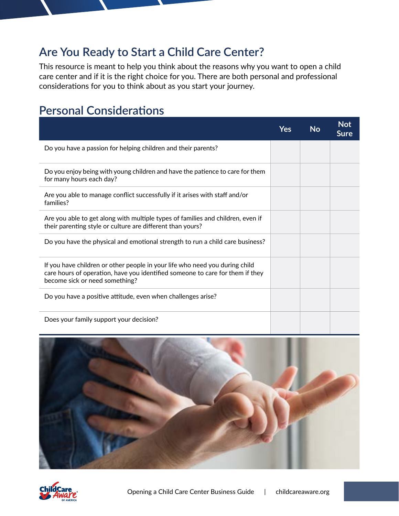## **Are You Ready to Start a Child Care Center?**

This resource is meant to help you think about the reasons why you want to open a child care center and if it is the right choice for you. There are both personal and professional considerations for you to think about as you start your journey.

## **Personal Considerations**

|                                                                                                                                                                                                | Yes | <b>No</b> | <b>Not</b><br><b>Sure</b> |
|------------------------------------------------------------------------------------------------------------------------------------------------------------------------------------------------|-----|-----------|---------------------------|
| Do you have a passion for helping children and their parents?                                                                                                                                  |     |           |                           |
| Do you enjoy being with young children and have the patience to care for them<br>for many hours each day?                                                                                      |     |           |                           |
| Are you able to manage conflict successfully if it arises with staff and/or<br>families?                                                                                                       |     |           |                           |
| Are you able to get along with multiple types of families and children, even if<br>their parenting style or culture are different than yours?                                                  |     |           |                           |
| Do you have the physical and emotional strength to run a child care business?                                                                                                                  |     |           |                           |
| If you have children or other people in your life who need you during child<br>care hours of operation, have you identified someone to care for them if they<br>become sick or need something? |     |           |                           |
| Do you have a positive attitude, even when challenges arise?                                                                                                                                   |     |           |                           |
| Does your family support your decision?                                                                                                                                                        |     |           |                           |